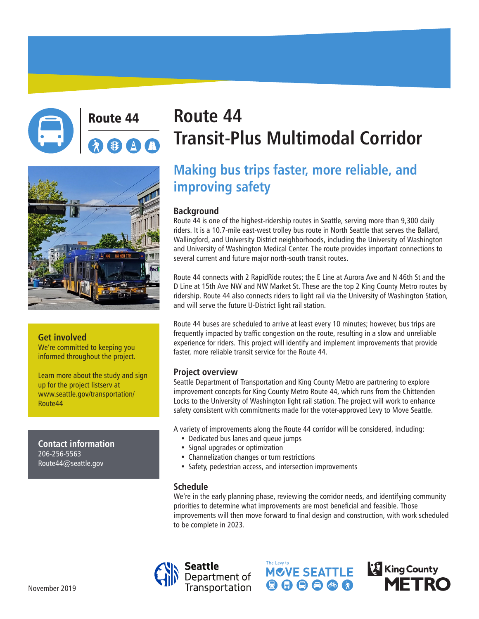



#### **Get involved**

We're committed to keeping you informed throughout the project.

Learn more about the study and sign up for the project listserv at www.seattle.gov/transportation/ Route44

**Contact information** 206-256-5563 Route44@seattle.gov

# Route 44 **Route 44 Transit-Plus Multimodal Corridor**

## **Making bus trips faster, more reliable, and improving safety**

### **Background**

Route 44 is one of the highest-ridership routes in Seattle, serving more than 9,300 daily riders. It is a 10.7-mile east-west trolley bus route in North Seattle that serves the Ballard, Wallingford, and University District neighborhoods, including the University of Washington and University of Washington Medical Center. The route provides important connections to several current and future major north-south transit routes.

Route 44 connects with 2 RapidRide routes; the E Line at Aurora Ave and N 46th St and the D Line at 15th Ave NW and NW Market St. These are the top 2 King County Metro routes by ridership. Route 44 also connects riders to light rail via the University of Washington Station, and will serve the future U-District light rail station.

Route 44 buses are scheduled to arrive at least every 10 minutes; however, bus trips are frequently impacted by traffic congestion on the route, resulting in a slow and unreliable experience for riders. This project will identify and implement improvements that provide faster, more reliable transit service for the Route 44.

#### **Project overview**

Seattle Department of Transportation and King County Metro are partnering to explore improvement concepts for King County Metro Route 44, which runs from the Chittenden Locks to the University of Washington light rail station. The project will work to enhance safety consistent with commitments made for the voter-approved Levy to Move Seattle.

A variety of improvements along the Route 44 corridor will be considered, including:

- Dedicated bus lanes and queue jumps
- Signal upgrades or optimization
- Channelization changes or turn restrictions
- Safety, pedestrian access, and intersection improvements

The Levy to

### **Schedule**

We're in the early planning phase, reviewing the corridor needs, and identifying community priorities to determine what improvements are most beneficial and feasible. Those improvements will then move forward to final design and construction, with work scheduled to be complete in 2023.

MCVE SEATTLE

 $\mathbf{\Theta} \mathbf{\Theta} \mathbf{\Theta} \mathbf{\Theta} \mathbf{\Omega}$ 

**King County** 

**METRO** 



November 2019